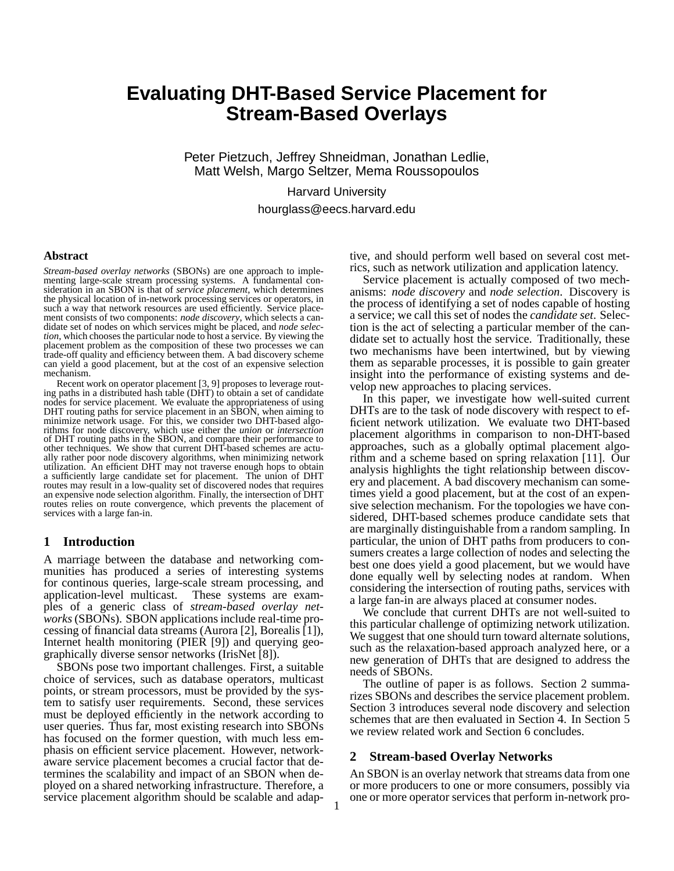# **Evaluating DHT-Based Service Placement for Stream-Based Overlays**

Peter Pietzuch, Jeffrey Shneidman, Jonathan Ledlie, Matt Welsh, Margo Seltzer, Mema Roussopoulos

> Harvard University hourglass@eecs.harvard.edu

> > 1

#### **Abstract**

*Stream-based overlay networks* (SBONs) are one approach to implementing large-scale stream processing systems. A fundamental consideration in an SBON is that of *service placement*, which determines the physical location of in-network processing services or operators, in such a way that network resources are used efficiently. Service placement consists of two components: *node discovery*, which selects a candidate set of nodes on which services might be placed, and *node selection*, which chooses the particular node to host a service. By viewing the placement problem as the composition of these two processes we can trade-off quality and efficiency between them. A bad discovery scheme can yield a good placement, but at the cost of an expensive selection mechanism.

Recent work on operator placement [3, 9] proposes to leverage routing paths in a distributed hash table (DHT) to obtain a set of candidate nodes for service placement. We evaluate the appropriateness of using DHT routing paths for service placement in an SBON, when aiming to minimize network usage. For this, we consider two DHT-based algorithms for node discovery, which use either the *union* or *intersection* of DHT routing paths in the SBON, and compare their performance to other techniques. We show that current DHT-based schemes are actually rather poor node discovery algorithms, when minimizing network utilization. An efficient DHT may not traverse enough hops to obtain a sufficiently large candidate set for placement. The union of DHT routes may result in a low-quality set of discovered nodes that requires an expensive node selection algorithm. Finally, the intersection of DHT routes relies on route convergence, which prevents the placement of services with a large fan-in.

#### **1 Introduction**

A marriage between the database and networking communities has produced a series of interesting systems for continous queries, large-scale stream processing, and application-level multicast. These systems are examples of a generic class of *stream-based overlay networks*(SBONs). SBON applications include real-time processing of financial data streams (Aurora [2], Borealis [1]), Internet health monitoring (PIER [9]) and querying geographically diverse sensor networks (IrisNet [8]).

SBONs pose two important challenges. First, a suitable choice of services, such as database operators, multicast points, or stream processors, must be provided by the system to satisfy user requirements. Second, these services must be deployed efficiently in the network according to user queries. Thus far, most existing research into SBONs has focused on the former question, with much less emphasis on efficient service placement. However, networkaware service placement becomes a crucial factor that determines the scalability and impact of an SBON when deployed on a shared networking infrastructure. Therefore, a service placement algorithm should be scalable and adaptive, and should perform well based on several cost metrics, such as network utilization and application latency.

Service placement is actually composed of two mechanisms: *node discovery* and *node selection*. Discovery is the process of identifying a set of nodes capable of hosting a service; we call this set of nodes the *candidate set*. Selection is the act of selecting a particular member of the candidate set to actually host the service. Traditionally, these two mechanisms have been intertwined, but by viewing them as separable processes, it is possible to gain greater insight into the performance of existing systems and develop new approaches to placing services.

In this paper, we investigate how well-suited current DHTs are to the task of node discovery with respect to efficient network utilization. We evaluate two DHT-based placement algorithms in comparison to non-DHT-based approaches, such as a globally optimal placement algorithm and a scheme based on spring relaxation [11]. Our analysis highlights the tight relationship between discovery and placement. A bad discovery mechanism can sometimes yield a good placement, but at the cost of an expensive selection mechanism. For the topologies we have considered, DHT-based schemes produce candidate sets that are marginally distinguishable from a random sampling. In particular, the union of DHT paths from producers to consumers creates a large collection of nodes and selecting the best one does yield a good placement, but we would have done equally well by selecting nodes at random. When considering the intersection of routing paths, services with a large fan-in are always placed at consumer nodes.

We conclude that current DHTs are not well-suited to this particular challenge of optimizing network utilization. We suggest that one should turn toward alternate solutions, such as the relaxation-based approach analyzed here, or a new generation of DHTs that are designed to address the needs of SBONs.

The outline of paper is as follows. Section 2 summarizes SBONs and describes the service placement problem. Section 3 introduces several node discovery and selection schemes that are then evaluated in Section 4. In Section 5 we review related work and Section 6 concludes.

## **2 Stream-based Overlay Networks**

An SBON is an overlay network that streams data from one or more producers to one or more consumers, possibly via one or more operator services that perform in-network pro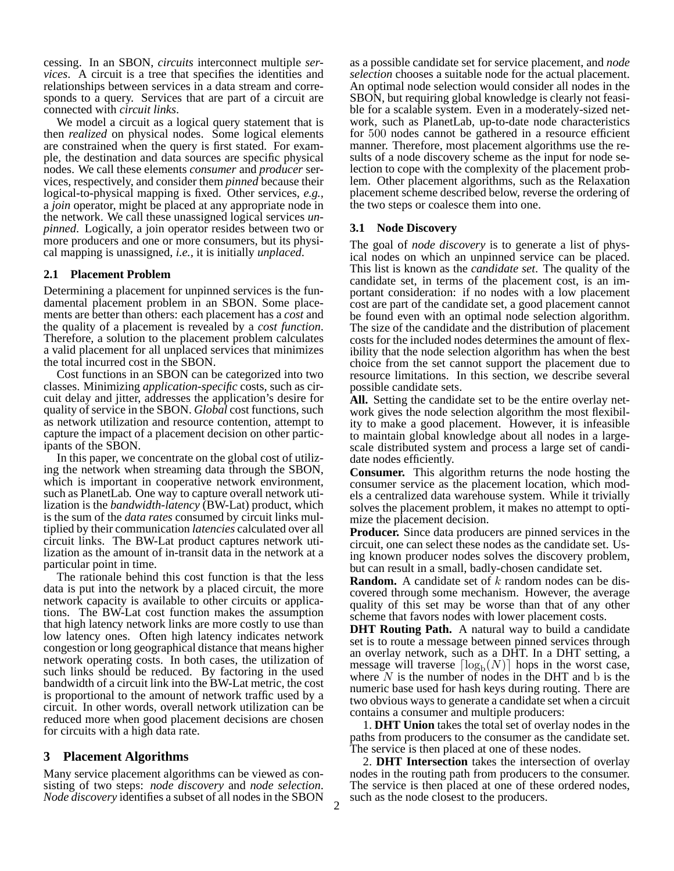cessing. In an SBON, *circuits* interconnect multiple *services*. A circuit is a tree that specifies the identities and relationships between services in a data stream and corresponds to a query. Services that are part of a circuit are connected with *circuit links*.

We model a circuit as a logical query statement that is then *realized* on physical nodes. Some logical elements are constrained when the query is first stated. For example, the destination and data sources are specific physical nodes. We call these elements *consumer* and *producer* services, respectively, and consider them *pinned* because their logical-to-physical mapping is fixed. Other services, *e.g.,* a *join* operator, might be placed at any appropriate node in the network. We call these unassigned logical services *unpinned*. Logically, a join operator resides between two or more producers and one or more consumers, but its physical mapping is unassigned, *i.e.,* it is initially *unplaced*.

# **2.1 Placement Problem**

Determining a placement for unpinned services is the fundamental placement problem in an SBON. Some placements are better than others: each placement has a *cost* and the quality of a placement is revealed by a *cost function*. Therefore, a solution to the placement problem calculates a valid placement for all unplaced services that minimizes the total incurred cost in the SBON.

Cost functions in an SBON can be categorized into two classes. Minimizing *application-specific* costs, such as circuit delay and jitter, addresses the application's desire for quality of service in the SBON. *Global* cost functions, such as network utilization and resource contention, attempt to capture the impact of a placement decision on other participants of the SBON.

In this paper, we concentrate on the global cost of utilizing the network when streaming data through the SBON, which is important in cooperative network environment, such as PlanetLab. One way to capture overall network utilization is the *bandwidth-latency* (BW-Lat) product, which is the sum of the *data rates* consumed by circuit links multiplied by their communication *latencies* calculated over all circuit links. The BW-Lat product captures network utilization as the amount of in-transit data in the network at a particular point in time.

The rationale behind this cost function is that the less data is put into the network by a placed circuit, the more network capacity is available to other circuits or applications. The BW-Lat cost function makes the assumption that high latency network links are more costly to use than low latency ones. Often high latency indicates network congestion or long geographical distance that means higher network operating costs. In both cases, the utilization of such links should be reduced. By factoring in the used bandwidth of a circuit link into the BW-Lat metric, the cost is proportional to the amount of network traffic used by a circuit. In other words, overall network utilization can be reduced more when good placement decisions are chosen for circuits with a high data rate.

# **3 Placement Algorithms**

Many service placement algorithms can be viewed as consisting of two steps: *node discovery* and *node selection*. *Node discovery* identifies a subset of all nodes in the SBON

as a possible candidate set for service placement, and *node selection* chooses a suitable node for the actual placement. An optimal node selection would consider all nodes in the SBON, but requiring global knowledge is clearly not feasible for a scalable system. Even in a moderately-sized network, such as PlanetLab, up-to-date node characteristics for 500 nodes cannot be gathered in a resource efficient manner. Therefore, most placement algorithms use the results of a node discovery scheme as the input for node selection to cope with the complexity of the placement problem. Other placement algorithms, such as the Relaxation placement scheme described below, reverse the ordering of the two steps or coalesce them into one.

## **3.1 Node Discovery**

The goal of *node discovery* is to generate a list of physical nodes on which an unpinned service can be placed. This list is known as the *candidate set*. The quality of the candidate set, in terms of the placement cost, is an important consideration: if no nodes with a low placement cost are part of the candidate set, a good placement cannot be found even with an optimal node selection algorithm. The size of the candidate and the distribution of placement costs for the included nodes determines the amount of flexibility that the node selection algorithm has when the best choice from the set cannot support the placement due to resource limitations. In this section, we describe several possible candidate sets.

**All.** Setting the candidate set to be the entire overlay network gives the node selection algorithm the most flexibility to make a good placement. However, it is infeasible to maintain global knowledge about all nodes in a largescale distributed system and process a large set of candidate nodes efficiently.

**Consumer.** This algorithm returns the node hosting the consumer service as the placement location, which models a centralized data warehouse system. While it trivially solves the placement problem, it makes no attempt to optimize the placement decision.

**Producer.** Since data producers are pinned services in the circuit, one can select these nodes as the candidate set. Using known producer nodes solves the discovery problem, but can result in a small, badly-chosen candidate set.

**Random.** A candidate set of k random nodes can be discovered through some mechanism. However, the average quality of this set may be worse than that of any other scheme that favors nodes with lower placement costs.

**DHT Routing Path.** A natural way to build a candidate set is to route a message between pinned services through an overlay network, such as a DHT. In a DHT setting, a message will traverse  $\lceil \log_b(N) \rceil$  hops in the worst case, where  $N$  is the number of nodes in the DHT and  $b$  is the numeric base used for hash keys during routing. There are two obvious ways to generate a candidate set when a circuit contains a consumer and multiple producers:

1. **DHT Union** takes the total set of overlay nodes in the paths from producers to the consumer as the candidate set. The service is then placed at one of these nodes.

2. **DHT Intersection** takes the intersection of overlay nodes in the routing path from producers to the consumer. The service is then placed at one of these ordered nodes, such as the node closest to the producers.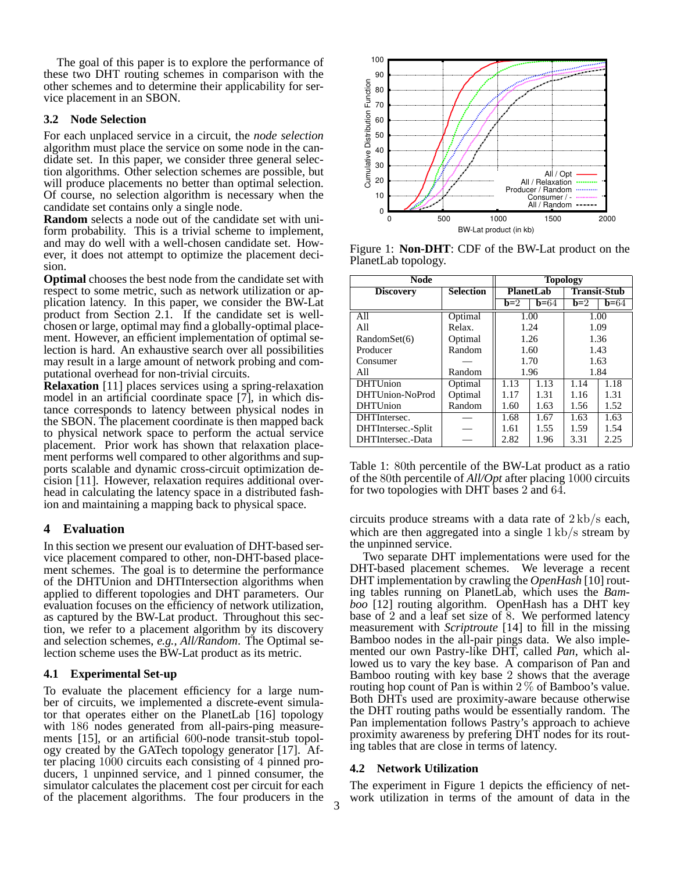The goal of this paper is to explore the performance of these two DHT routing schemes in comparison with the other schemes and to determine their applicability for service placement in an SBON.

# **3.2 Node Selection**

For each unplaced service in a circuit, the *node selection* algorithm must place the service on some node in the candidate set. In this paper, we consider three general selection algorithms. Other selection schemes are possible, but will produce placements no better than optimal selection. Of course, no selection algorithm is necessary when the candidate set contains only a single node.

**Random** selects a node out of the candidate set with uniform probability. This is a trivial scheme to implement, and may do well with a well-chosen candidate set. However, it does not attempt to optimize the placement decision.

**Optimal** chooses the best node from the candidate set with respect to some metric, such as network utilization or application latency. In this paper, we consider the BW-Lat product from Section 2.1. If the candidate set is wellchosen or large, optimal may find a globally-optimal placement. However, an efficient implementation of optimal selection is hard. An exhaustive search over all possibilities may result in a large amount of network probing and computational overhead for non-trivial circuits.

**Relaxation** [11] places services using a spring-relaxation model in an artificial coordinate space [7], in which distance corresponds to latency between physical nodes in the SBON. The placement coordinate is then mapped back to physical network space to perform the actual service placement. Prior work has shown that relaxation placement performs well compared to other algorithms and supports scalable and dynamic cross-circuit optimization decision [11]. However, relaxation requires additional overhead in calculating the latency space in a distributed fashion and maintaining a mapping back to physical space.

# **4 Evaluation**

In this section we present our evaluation of DHT-based service placement compared to other, non-DHT-based placement schemes. The goal is to determine the performance of the DHTUnion and DHTIntersection algorithms when applied to different topologies and DHT parameters. Our evaluation focuses on the efficiency of network utilization, as captured by the BW-Lat product. Throughout this section, we refer to a placement algorithm by its discovery and selection schemes, *e.g., All/Random*. The Optimal selection scheme uses the BW-Lat product as its metric.

# **4.1 Experimental Set-up**

To evaluate the placement efficiency for a large number of circuits, we implemented a discrete-event simulator that operates either on the PlanetLab [16] topology with 186 nodes generated from all-pairs-ping measurements [15], or an artificial 600-node transit-stub topology created by the GATech topology generator [17]. After placing 1000 circuits each consisting of 4 pinned producers, 1 unpinned service, and 1 pinned consumer, the simulator calculates the placement cost per circuit for each of the placement algorithms. The four producers in the



Figure 1: **Non-DHT**: CDF of the BW-Lat product on the PlanetLab topology.

| <b>Node</b>        |                  | <b>Topology</b>  |          |                     |          |
|--------------------|------------------|------------------|----------|---------------------|----------|
| <b>Discovery</b>   | <b>Selection</b> | <b>PlanetLab</b> |          | <b>Transit-Stub</b> |          |
|                    |                  | $b=2$            | $b = 64$ | $b=2$               | $b = 64$ |
| All                | Optimal          | 1.00             |          | 1.00                |          |
| All                | Relax.           | 1.24             |          | 1.09                |          |
| RandomSet(6)       | Optimal          | 1.26             |          | 1.36                |          |
| Producer           | Random           | 1.60             |          | 1.43                |          |
| Consumer           |                  | 1.70             |          | 1.63                |          |
| All                | Random           | 1.96             |          | 1.84                |          |
| <b>DHTUnion</b>    | Optimal          | 1.13             | 1.13     | 1.14                | 1.18     |
| DHTUnion-NoProd    | Optimal          | 1.17             | 1.31     | 1.16                | 1.31     |
| <b>DHTUnion</b>    | Random           | 1.60             | 1.63     | 1.56                | 1.52     |
| DHTIntersec.       |                  | 1.68             | 1.67     | 1.63                | 1.63     |
| DHTIntersec.-Split |                  | 1.61             | 1.55     | 1.59                | 1.54     |
| DHTIntersec.-Data  |                  | 2.82             | 1.96     | 3.31                | 2.25     |

Table 1: 80th percentile of the BW-Lat product as a ratio of the 80th percentile of *All/Opt* after placing 1000 circuits for two topologies with DHT bases 2 and 64.

circuits produce streams with a data rate of  $2 \text{ kb/s}$  each, which are then aggregated into a single  $1 \text{ kb/s}$  stream by the unpinned service.

Two separate DHT implementations were used for the DHT-based placement schemes. We leverage a recent DHT implementation by crawling the *OpenHash* [10] routing tables running on PlanetLab, which uses the *Bamboo* [12] routing algorithm. OpenHash has a DHT key base of 2 and a leaf set size of 8. We performed latency measurement with *Scriptroute* [14] to fill in the missing Bamboo nodes in the all-pair pings data. We also implemented our own Pastry-like DHT, called *Pan*, which allowed us to vary the key base. A comparison of Pan and Bamboo routing with key base 2 shows that the average routing hop count of Pan is within  $2\%$  of Bamboo's value. Both DHTs used are proximity-aware because otherwise the DHT routing paths would be essentially random. The Pan implementation follows Pastry's approach to achieve proximity awareness by prefering DHT nodes for its routing tables that are close in terms of latency.

# **4.2 Network Utilization**

The experiment in Figure 1 depicts the efficiency of network utilization in terms of the amount of data in the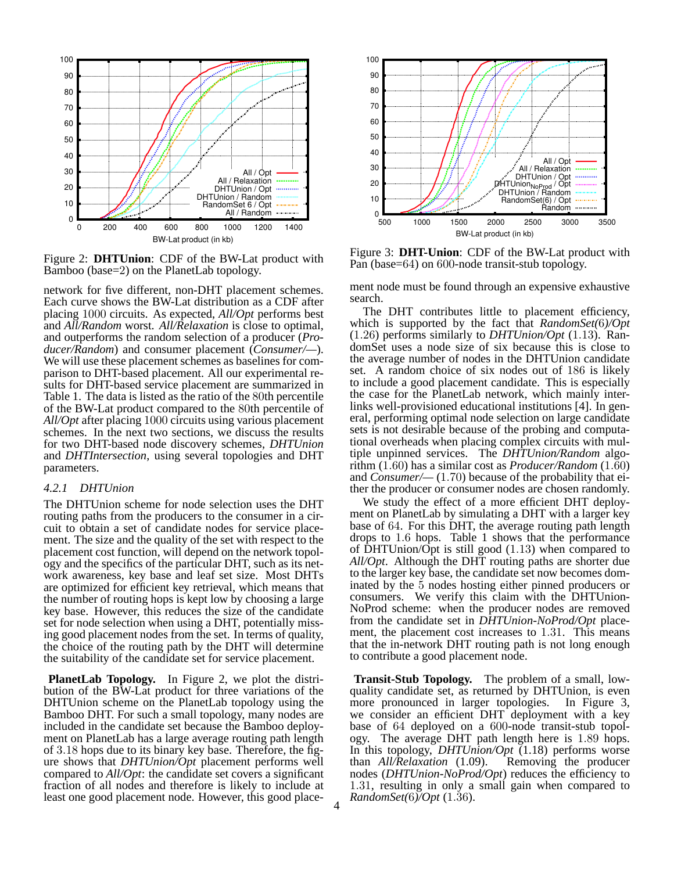

Figure 2: **DHTUnion**: CDF of the BW-Lat product with Bamboo (base=2) on the PlanetLab topology.

network for five different, non-DHT placement schemes. Each curve shows the BW-Lat distribution as a CDF after placing 1000 circuits. As expected, *All/Opt* performs best and *All/Random* worst. *All/Relaxation* is close to optimal, and outperforms the random selection of a producer (*Producer/Random*) and consumer placement (*Consumer/—*). We will use these placement schemes as baselines for comparison to DHT-based placement. All our experimental results for DHT-based service placement are summarized in Table 1. The data is listed as the ratio of the 80th percentile of the BW-Lat product compared to the 80th percentile of *All/Opt* after placing 1000 circuits using various placement schemes. In the next two sections, we discuss the results for two DHT-based node discovery schemes, *DHTUnion* and *DHTIntersection*, using several topologies and DHT parameters.

#### *4.2.1 DHTUnion*

The DHTUnion scheme for node selection uses the DHT routing paths from the producers to the consumer in a circuit to obtain a set of candidate nodes for service placement. The size and the quality of the set with respect to the placement cost function, will depend on the network topology and the specifics of the particular DHT, such as its network awareness, key base and leaf set size. Most DHTs are optimized for efficient key retrieval, which means that the number of routing hops is kept low by choosing a large key base. However, this reduces the size of the candidate set for node selection when using a DHT, potentially missing good placement nodes from the set. In terms of quality, the choice of the routing path by the DHT will determine the suitability of the candidate set for service placement.

**PlanetLab Topology.** In Figure 2, we plot the distribution of the BW-Lat product for three variations of the DHTUnion scheme on the PlanetLab topology using the Bamboo DHT. For such a small topology, many nodes are included in the candidate set because the Bamboo deployment on PlanetLab has a large average routing path length of 3.18 hops due to its binary key base. Therefore, the figure shows that *DHTUnion/Opt* placement performs well compared to *All/Opt*: the candidate set covers a significant fraction of all nodes and therefore is likely to include at least one good placement node. However, this good place-



Figure 3: **DHT-Union**: CDF of the BW-Lat product with Pan (base=64) on 600-node transit-stub topology.

ment node must be found through an expensive exhaustive search.

The DHT contributes little to placement efficiency, which is supported by the fact that *RandomSet(*6*)/Opt* (1.26) performs similarly to *DHTUnion/Opt* (1.13). RandomSet uses a node size of six because this is close to the average number of nodes in the DHTUnion candidate set. A random choice of six nodes out of 186 is likely to include a good placement candidate. This is especially the case for the PlanetLab network, which mainly interlinks well-provisioned educational institutions [4]. In general, performing optimal node selection on large candidate sets is not desirable because of the probing and computational overheads when placing complex circuits with multiple unpinned services. The *DHTUnion/Random* algorithm (1.60) has a similar cost as *Producer/Random* (1.60) and *Consumer/—* (1.70) because of the probability that either the producer or consumer nodes are chosen randomly.

We study the effect of a more efficient DHT deployment on PlanetLab by simulating a DHT with a larger key base of 64. For this DHT, the average routing path length drops to 1.6 hops. Table 1 shows that the performance of DHTUnion/Opt is still good (1.13) when compared to *All/Opt*. Although the DHT routing paths are shorter due to the larger key base, the candidate set now becomes dominated by the 5 nodes hosting either pinned producers or consumers. We verify this claim with the DHTUnion-NoProd scheme: when the producer nodes are removed from the candidate set in *DHTUnion-NoProd/Opt* placement, the placement cost increases to 1.31. This means that the in-network DHT routing path is not long enough to contribute a good placement node.

**Transit-Stub Topology.** The problem of a small, lowquality candidate set, as returned by DHTUnion, is even more pronounced in larger topologies. In Figure 3, we consider an efficient DHT deployment with a key base of 64 deployed on a 600-node transit-stub topology. The average DHT path length here is 1.89 hops. In this topology, *DHTUnion/Opt* (1.18) performs worse than *All/Relaxation* (1.09). Removing the producer nodes (*DHTUnion-NoProd/Opt*) reduces the efficiency to 1.31, resulting in only a small gain when compared to *RandomSet(*6*)/Opt* (1.36).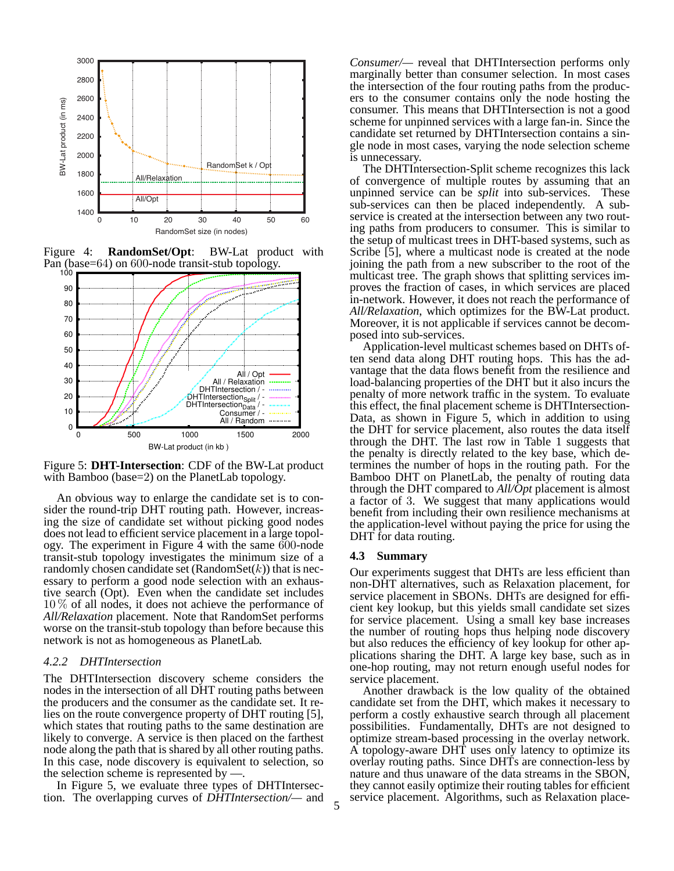

Figure 4: **RandomSet/Opt**: BW-Lat product with Pan (base=64) on 600-node transit-stub topology.



Figure 5: **DHT-Intersection**: CDF of the BW-Lat product with Bamboo (base=2) on the PlanetLab topology.

An obvious way to enlarge the candidate set is to consider the round-trip DHT routing path. However, increasing the size of candidate set without picking good nodes does not lead to efficient service placement in a large topology. The experiment in Figure 4 with the same 600-node transit-stub topology investigates the minimum size of a randomly chosen candidate set (RandomSet $(k)$ ) that is necessary to perform a good node selection with an exhaustive search (Opt). Even when the candidate set includes 10 % of all nodes, it does not achieve the performance of *All/Relaxation* placement. Note that RandomSet performs worse on the transit-stub topology than before because this network is not as homogeneous as PlanetLab.

### *4.2.2 DHTIntersection*

The DHTIntersection discovery scheme considers the nodes in the intersection of all DHT routing paths between the producers and the consumer as the candidate set. It relies on the route convergence property of DHT routing [5], which states that routing paths to the same destination are likely to converge. A service is then placed on the farthest node along the path that is shared by all other routing paths. In this case, node discovery is equivalent to selection, so the selection scheme is represented by —.

In Figure 5, we evaluate three types of DHTIntersection. The overlapping curves of *DHTIntersection/—* and

*Consumer/—* reveal that DHTIntersection performs only marginally better than consumer selection. In most cases the intersection of the four routing paths from the producers to the consumer contains only the node hosting the consumer. This means that DHTIntersection is not a good scheme for unpinned services with a large fan-in. Since the candidate set returned by DHTIntersection contains a single node in most cases, varying the node selection scheme is unnecessary.

The DHTIntersection-Split scheme recognizes this lack of convergence of multiple routes by assuming that an unpinned service can be *split* into sub-services. These sub-services can then be placed independently. A subservice is created at the intersection between any two routing paths from producers to consumer. This is similar to the setup of multicast trees in DHT-based systems, such as Scribe [5], where a multicast node is created at the node joining the path from a new subscriber to the root of the multicast tree. The graph shows that splitting services improves the fraction of cases, in which services are placed in-network. However, it does not reach the performance of *All/Relaxation*, which optimizes for the BW-Lat product. Moreover, it is not applicable if services cannot be decomposed into sub-services.

Application-level multicast schemes based on DHTs often send data along DHT routing hops. This has the advantage that the data flows benefit from the resilience and load-balancing properties of the DHT but it also incurs the penalty of more network traffic in the system. To evaluate this effect, the final placement scheme is DHTIntersection-Data, as shown in Figure 5, which in addition to using the DHT for service placement, also routes the data itself through the DHT. The last row in Table 1 suggests that the penalty is directly related to the key base, which determines the number of hops in the routing path. For the Bamboo DHT on PlanetLab, the penalty of routing data through the DHT compared to *All/Opt* placement is almost a factor of 3. We suggest that many applications would benefit from including their own resilience mechanisms at the application-level without paying the price for using the DHT for data routing.

#### **4.3 Summary**

Our experiments suggest that DHTs are less efficient than non-DHT alternatives, such as Relaxation placement, for service placement in SBONs. DHTs are designed for efficient key lookup, but this yields small candidate set sizes for service placement. Using a small key base increases the number of routing hops thus helping node discovery but also reduces the efficiency of key lookup for other applications sharing the DHT. A large key base, such as in one-hop routing, may not return enough useful nodes for service placement.

Another drawback is the low quality of the obtained candidate set from the DHT, which makes it necessary to perform a costly exhaustive search through all placement possibilities. Fundamentally, DHTs are not designed to optimize stream-based processing in the overlay network. A topology-aware DHT uses only latency to optimize its overlay routing paths. Since DHTs are connection-less by nature and thus unaware of the data streams in the SBON, they cannot easily optimize their routing tables for efficient service placement. Algorithms, such as Relaxation place-